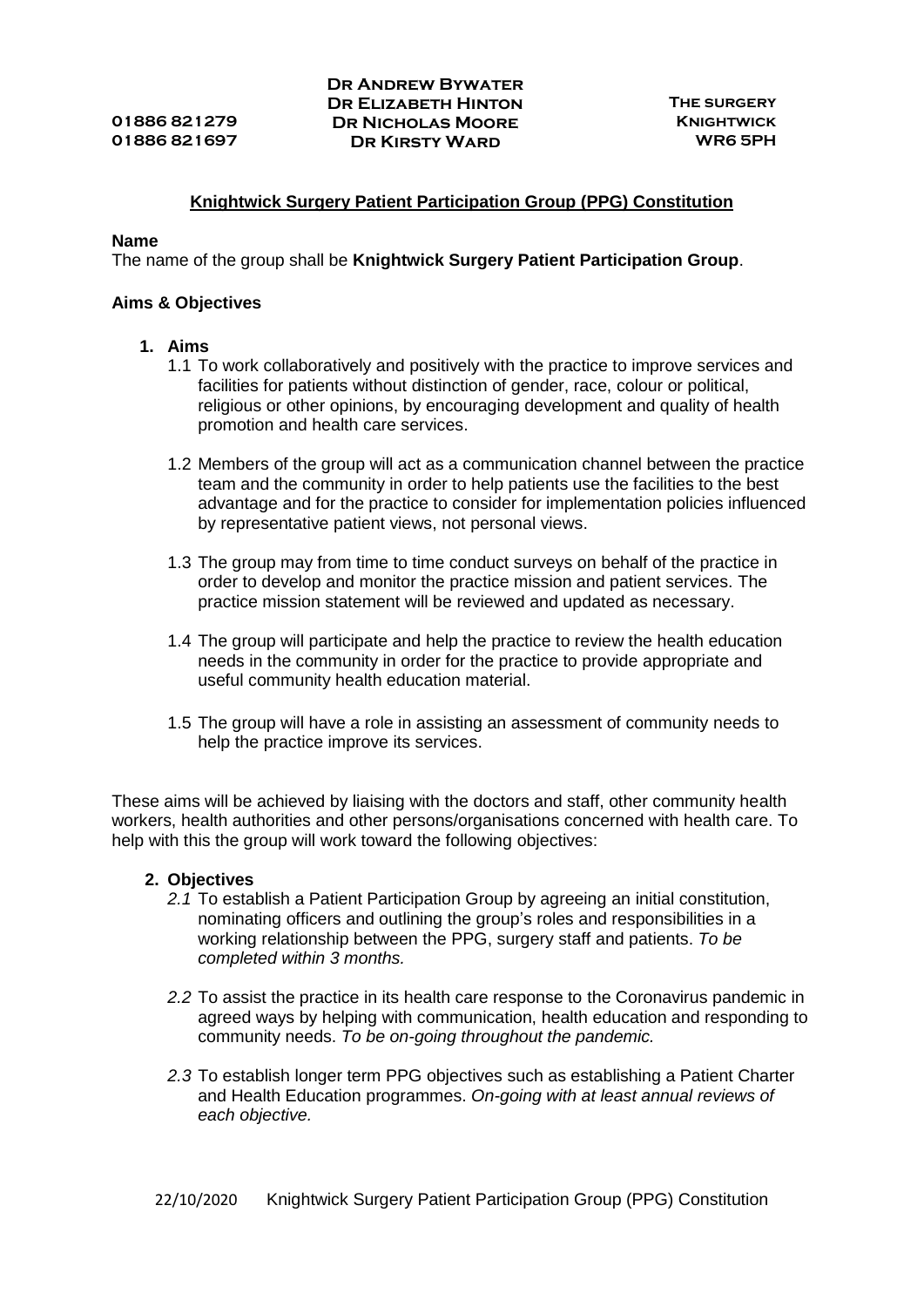## **Knightwick Surgery Patient Participation Group (PPG) Constitution**

## **Name**

The name of the group shall be **Knightwick Surgery Patient Participation Group**.

## **Aims & Objectives**

- **1. Aims**
	- 1.1 To work collaboratively and positively with the practice to improve services and facilities for patients without distinction of gender, race, colour or political, religious or other opinions, by encouraging development and quality of health promotion and health care services.
	- 1.2 Members of the group will act as a communication channel between the practice team and the community in order to help patients use the facilities to the best advantage and for the practice to consider for implementation policies influenced by representative patient views, not personal views.
	- 1.3 The group may from time to time conduct surveys on behalf of the practice in order to develop and monitor the practice mission and patient services. The practice mission statement will be reviewed and updated as necessary.
	- 1.4 The group will participate and help the practice to review the health education needs in the community in order for the practice to provide appropriate and useful community health education material.
	- 1.5 The group will have a role in assisting an assessment of community needs to help the practice improve its services.

These aims will be achieved by liaising with the doctors and staff, other community health workers, health authorities and other persons/organisations concerned with health care. To help with this the group will work toward the following objectives:

## **2. Objectives**

- *2.1* To establish a Patient Participation Group by agreeing an initial constitution, nominating officers and outlining the group's roles and responsibilities in a working relationship between the PPG, surgery staff and patients. *To be completed within 3 months.*
- *2.2* To assist the practice in its health care response to the Coronavirus pandemic in agreed ways by helping with communication, health education and responding to community needs. *To be on-going throughout the pandemic.*
- *2.3* To establish longer term PPG objectives such as establishing a Patient Charter and Health Education programmes. *On-going with at least annual reviews of each objective.*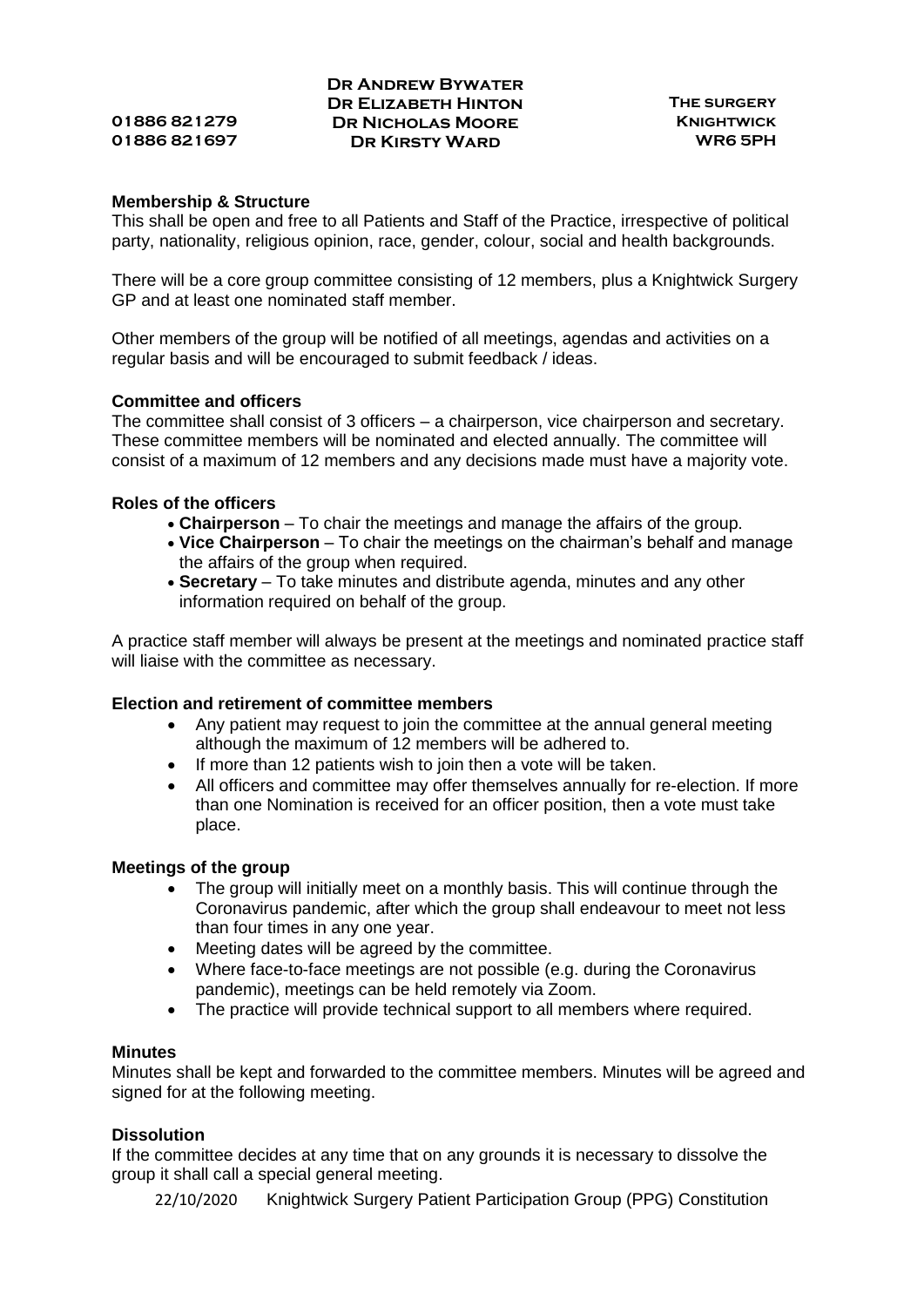## **Dr Andrew Bywater Dr Elizabeth Hinton The surgery 01886 821279 Dr Nicholas Moore Knightwick 01886 821697 Dr Kirsty Ward WR6 5PH**

## **Membership & Structure**

This shall be open and free to all Patients and Staff of the Practice, irrespective of political party, nationality, religious opinion, race, gender, colour, social and health backgrounds.

There will be a core group committee consisting of 12 members, plus a Knightwick Surgery GP and at least one nominated staff member.

Other members of the group will be notified of all meetings, agendas and activities on a regular basis and will be encouraged to submit feedback / ideas.

## **Committee and officers**

The committee shall consist of 3 officers – a chairperson, vice chairperson and secretary. These committee members will be nominated and elected annually. The committee will consist of a maximum of 12 members and any decisions made must have a majority vote.

# **Roles of the officers**

- **Chairperson** To chair the meetings and manage the affairs of the group.
- **Vice Chairperson** To chair the meetings on the chairman's behalf and manage the affairs of the group when required.
- **Secretary** To take minutes and distribute agenda, minutes and any other information required on behalf of the group.

A practice staff member will always be present at the meetings and nominated practice staff will liaise with the committee as necessary.

## **Election and retirement of committee members**

- Any patient may request to join the committee at the annual general meeting although the maximum of 12 members will be adhered to.
- If more than 12 patients wish to join then a vote will be taken.
- All officers and committee may offer themselves annually for re-election. If more than one Nomination is received for an officer position, then a vote must take place.

## **Meetings of the group**

- The group will initially meet on a monthly basis. This will continue through the Coronavirus pandemic, after which the group shall endeavour to meet not less than four times in any one year.
- Meeting dates will be agreed by the committee.
- Where face-to-face meetings are not possible (e.g. during the Coronavirus pandemic), meetings can be held remotely via Zoom.
- The practice will provide technical support to all members where required.

## **Minutes**

Minutes shall be kept and forwarded to the committee members. Minutes will be agreed and signed for at the following meeting.

## **Dissolution**

If the committee decides at any time that on any grounds it is necessary to dissolve the group it shall call a special general meeting.

22/10/2020 Knightwick Surgery Patient Participation Group (PPG) Constitution